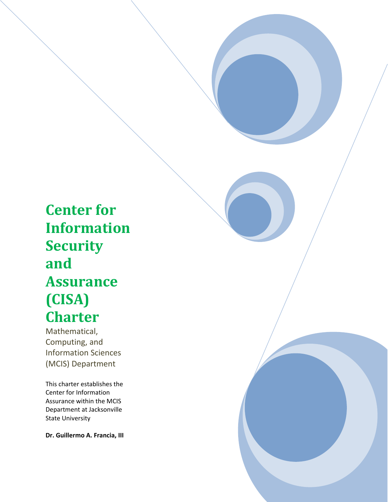**Center for Information Security and Assurance (CISA) Charter**

the contract of the contract of the contract of

Mathematical, Computing, and Information Sciences (MCIS) Department

This charter establishes the Center for Information Assurance within the MCIS Department at Jacksonville State University

**Dr. Guillermo A. Francia, III**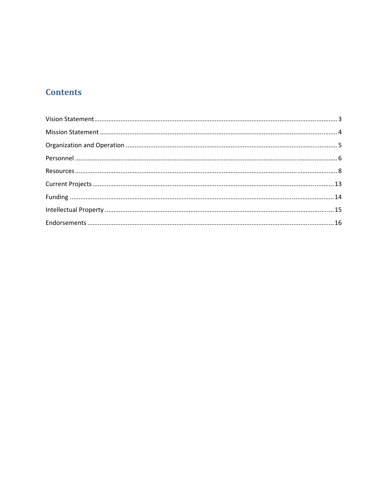# **Contents**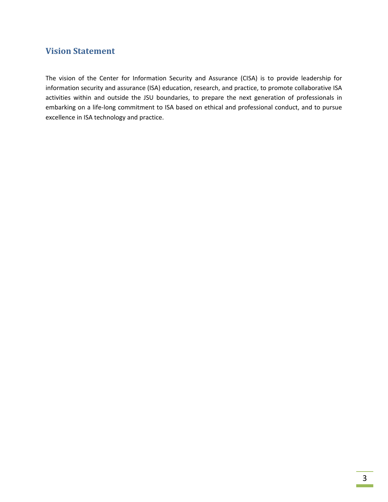## **Vision Statement**

The vision of the Center for Information Security and Assurance (CISA) is to provide leadership for information security and assurance (ISA) education, research, and practice, to promote collaborative ISA activities within and outside the JSU boundaries, to prepare the next generation of professionals in embarking on a life-long commitment to ISA based on ethical and professional conduct, and to pursue excellence in ISA technology and practice.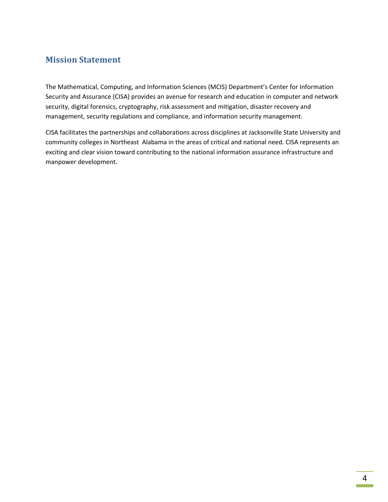### **Mission Statement**

The Mathematical, Computing, and Information Sciences (MCIS) Department's Center for Information Security and Assurance (CISA) provides an avenue for research and education in computer and network security, digital forensics, cryptography, risk assessment and mitigation, disaster recovery and management, security regulations and compliance, and information security management.

CISA facilitates the partnerships and collaborations across disciplines at Jacksonville State University and community colleges in Northeast Alabama in the areas of critical and national need. CISA represents an exciting and clear vision toward contributing to the national information assurance infrastructure and manpower development.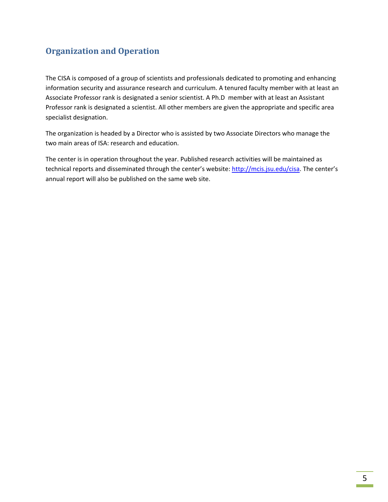# **Organization and Operation**

The CISA is composed of a group of scientists and professionals dedicated to promoting and enhancing information security and assurance research and curriculum. A tenured faculty member with at least an Associate Professor rank is designated a senior scientist. A Ph.D member with at least an Assistant Professor rank is designated a scientist. All other members are given the appropriate and specific area specialist designation.

The organization is headed by a Director who is assisted by two Associate Directors who manage the two main areas of ISA: research and education.

The center is in operation throughout the year. Published research activities will be maintained as technical reports and disseminated through the center's website: http://mcis.jsu.edu/cisa. The center's annual report will also be published on the same web site.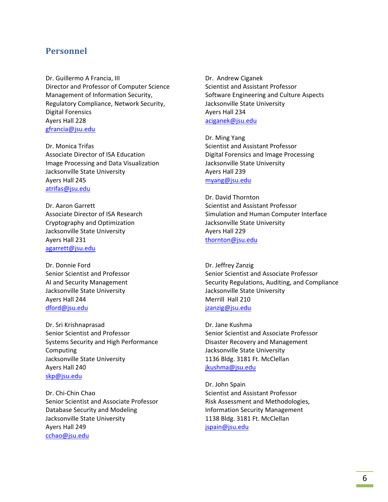### **Personnel**

Dr. Guillermo A Francia, III Director and Professor of Computer Science Management of Information Security, Regulatory Compliance, Network Security, Digital Forensics Ayers Hall 228 gfrancia@jsu.edu

Dr. Monica Trifas Associate Director of ISA Education Image Processing and Data Visualization Jacksonville State University Ayers Hall 245 atrifas@jsu.edu

Dr. Aaron Garrett Associate Director of ISA Research Cryptography and Optimization Jacksonville State University Ayers Hall 231 agarrett@jsu.edu

Dr. Donnie Ford Senior Scientist and Professor AI and Security Management Jacksonville State University Ayers Hall 244 dford@jsu.edu

Dr. Sri Krishnaprasad Senior Scientist and Professor Systems Security and High Performance Computing Jacksonville State University Ayers Hall 240 skp@jsu.edu

Dr. Chi‐Chin Chao Senior Scientist and Associate Professor Database Security and Modeling Jacksonville State University Ayers Hall 249 cchao@jsu.edu

Dr. Andrew Ciganek Scientist and Assistant Professor Software Engineering and Culture Aspects Jacksonville State University Ayers Hall 234 aciganek@jsu.edu

Dr. Ming Yang Scientist and Assistant Professor Digital Forensics and Image Processing Jacksonville State University Ayers Hall 239 myang@jsu.edu

Dr. David Thornton Scientist and Assistant Professor Simulation and Human Computer Interface Jacksonville State University Ayers Hall 229 thornton@jsu.edu

Dr. Jeffrey Zanzig Senior Scientist and Associate Professor Security Regulations, Auditing, and Compliance Jacksonville State University Merrill Hall 210 jzanzig@jsu.edu

Dr. Jane Kushma Senior Scientist and Associate Professor Disaster Recovery and Management Jacksonville State University 1136 Bldg. 3181 Ft. McClellan jkushma@jsu.edu

Dr. John Spain Scientist and Assistant Professor Risk Assessment and Methodologies, Information Security Management 1138 Bldg. 3181 Ft. McClellan jspain@jsu.edu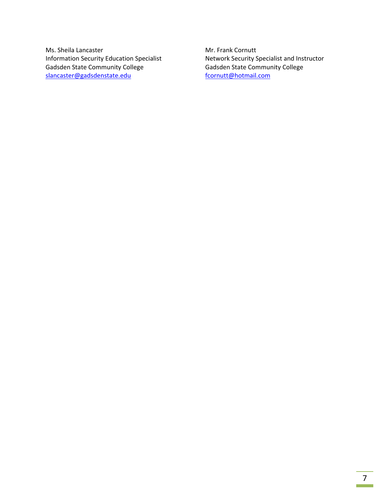Ms. Sheila Lancaster Information Security Education Specialist Gadsden State Community College slancaster@gadsdenstate.edu

Mr. Frank Cornutt Network Security Specialist and Instructor Gadsden State Community College fcornutt@hotmail.com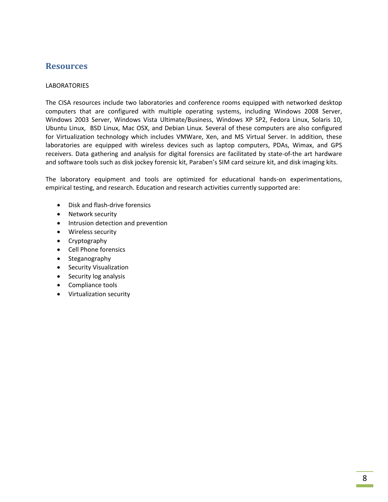### **Resources**

### **LABORATORIES**

The CISA resources include two laboratories and conference rooms equipped with networked desktop computers that are configured with multiple operating systems, including Windows 2008 Server, Windows 2003 Server, Windows Vista Ultimate/Business, Windows XP SP2, Fedora Linux, Solaris 10, Ubuntu Linux, BSD Linux, Mac OSX, and Debian Linux. Several of these computers are also configured for Virtualization technology which includes VMWare, Xen, and MS Virtual Server. In addition, these laboratories are equipped with wireless devices such as laptop computers, PDAs, Wimax, and GPS receivers. Data gathering and analysis for digital forensics are facilitated by state‐of‐the art hardware and software tools such as disk jockey forensic kit, Paraben's SIM card seizure kit, and disk imaging kits.

The laboratory equipment and tools are optimized for educational hands‐on experimentations, empirical testing, and research. Education and research activities currently supported are:

- Disk and flash‐drive forensics
- Network security
- Intrusion detection and prevention
- Wireless security
- Cryptography
- Cell Phone forensics
- Steganography
- Security Visualization
- Security log analysis
- Compliance tools
- Virtualization security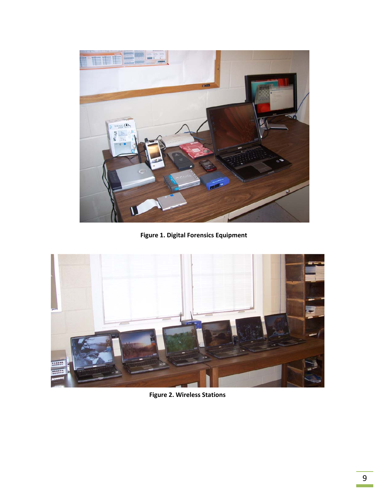

**Figure 1. Digital Forensics Equipment**



**Figure 2. Wireless Stations**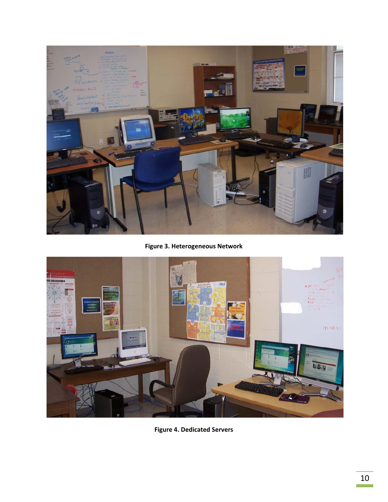

**Figure 3. Heterogeneous Network**



**Figure 4. Dedicated Servers**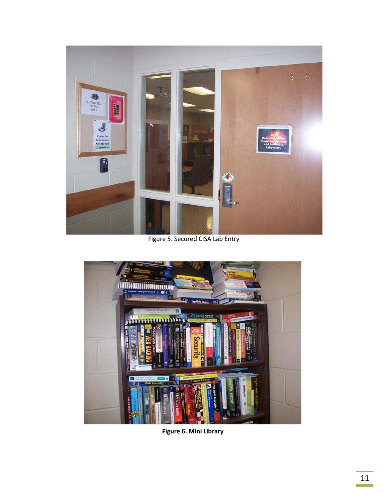

Figure 5. Secured CISA Lab Entry



**Figure 6. Mini Library**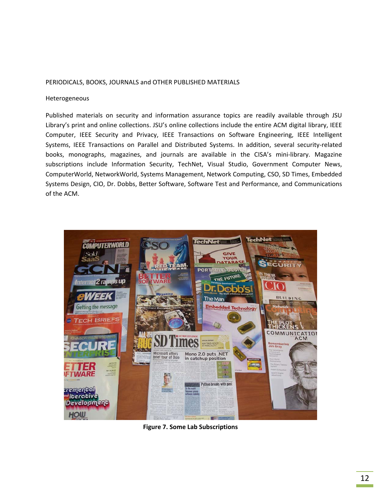#### PERIODICALS, BOOKS, JOURNALS and OTHER PUBLISHED MATERIALS

#### Heterogeneous

Published materials on security and information assurance topics are readily available through JSU Library's print and online collections. JSU's online collections include the entire ACM digital library, IEEE Computer, IEEE Security and Privacy, IEEE Transactions on Software Engineering, IEEE Intelligent Systems, IEEE Transactions on Parallel and Distributed Systems. In addition, several security‐related books, monographs, magazines, and journals are available in the CISA's mini‐library. Magazine subscriptions include Information Security, TechNet, Visual Studio, Government Computer News, ComputerWorld, NetworkWorld, Systems Management, Network Computing, CSO, SD Times, Embedded Systems Design, CIO, Dr. Dobbs, Better Software, Software Test and Performance, and Communications of the ACM.



**Figure 7. Some Lab Subscriptions**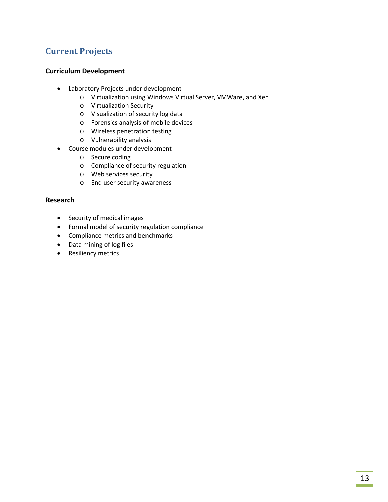# **Current Projects**

### **Curriculum Development**

- Laboratory Projects under development
	- o Virtualization using Windows Virtual Server, VMWare, and Xen
	- o Virtualization Security
	- o Visualization of security log data
	- o Forensics analysis of mobile devices
	- o Wireless penetration testing
	- o Vulnerability analysis
- Course modules under development
	- o Secure coding
	- o Compliance of security regulation
	- o Web services security
	- o End user security awareness

### **Research**

- Security of medical images
- Formal model of security regulation compliance
- Compliance metrics and benchmarks
- Data mining of log files
- Resiliency metrics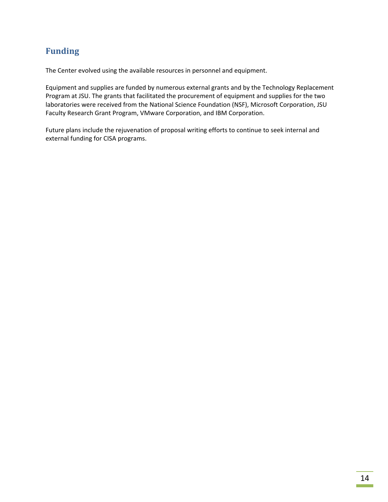# **Funding**

The Center evolved using the available resources in personnel and equipment.

Equipment and supplies are funded by numerous external grants and by the Technology Replacement Program at JSU. The grants that facilitated the procurement of equipment and supplies for the two laboratories were received from the National Science Foundation (NSF), Microsoft Corporation, JSU Faculty Research Grant Program, VMware Corporation, and IBM Corporation.

Future plans include the rejuvenation of proposal writing efforts to continue to seek internal and external funding for CISA programs.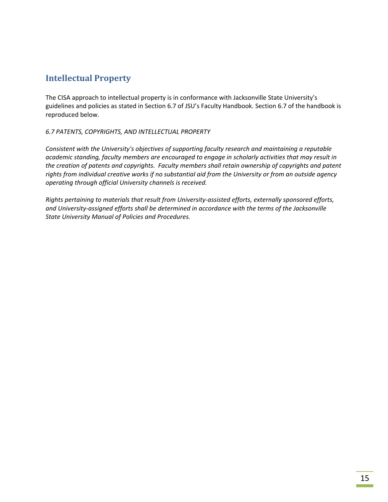## **Intellectual Property**

The CISA approach to intellectual property is in conformance with Jacksonville State University's guidelines and policies as stated in Section 6.7 of JSU's Faculty Handbook. Section 6.7 of the handbook is reproduced below.

### *6.7 PATENTS, COPYRIGHTS, AND INTELLECTUAL PROPERTY*

*Consistent with the University's objectives of supporting faculty research and maintaining a reputable academic standing, faculty members are encouraged to engage in scholarly activities that may result in the creation of patents and copyrights. Faculty members shall retain ownership of copyrights and patent rights from individual creative works if no substantial aid from the University or from an outside agency operating through official University channels is received.* 

*Rights pertaining to materials that result from University‐assisted efforts, externally sponsored efforts, and University‐assigned efforts shall be determined in accordance with the terms of the Jacksonville State University Manual of Policies and Procedures.*